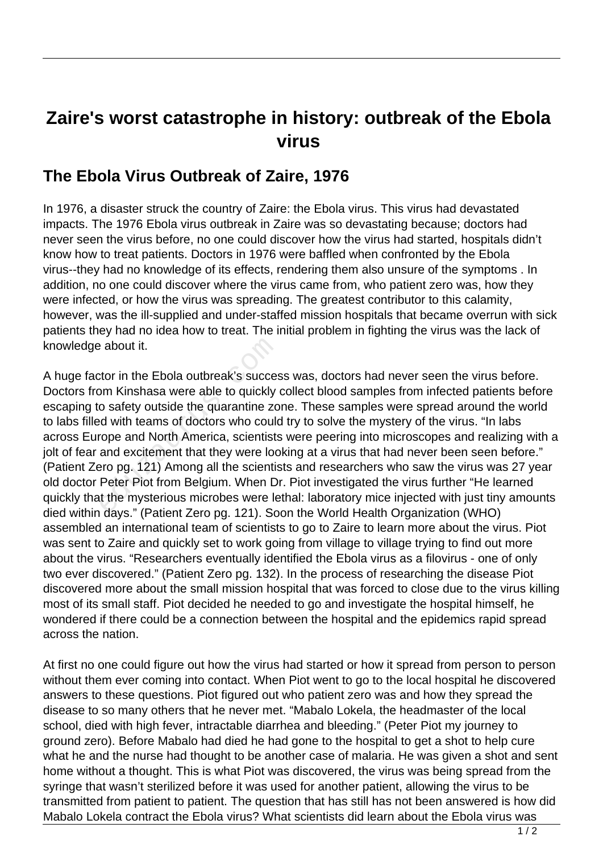## **Zaire's worst catastrophe in history: outbreak of the Ebola virus**

## **The Ebola Virus Outbreak of Zaire, 1976**

In 1976, a disaster struck the country of Zaire: the Ebola virus. This virus had devastated impacts. The 1976 Ebola virus outbreak in Zaire was so devastating because; doctors had never seen the virus before, no one could discover how the virus had started, hospitals didn't know how to treat patients. Doctors in 1976 were baffled when confronted by the Ebola virus--they had no knowledge of its effects, rendering them also unsure of the symptoms . In addition, no one could discover where the virus came from, who patient zero was, how they were infected, or how the virus was spreading. The greatest contributor to this calamity, however, was the ill-supplied and under-staffed mission hospitals that became overrun with sick patients they had no idea how to treat. The initial problem in fighting the virus was the lack of knowledge about it.

A huge factor in the Ebola outbreak's success was, doctors had never seen the virus before. Doctors from Kinshasa were able to quickly collect blood samples from infected patients before escaping to safety outside the quarantine zone. These samples were spread around the world to labs filled with teams of doctors who could try to solve the mystery of the virus. "In labs across Europe and North America, scientists were peering into microscopes and realizing with a jolt of fear and excitement that they were looking at a virus that had never been seen before." (Patient Zero pg. 121) Among all the scientists and researchers who saw the virus was 27 year old doctor Peter Piot from Belgium. When Dr. Piot investigated the virus further "He learned quickly that the mysterious microbes were lethal: laboratory mice injected with just tiny amounts died within days." (Patient Zero pg. 121). Soon the World Health Organization (WHO) assembled an international team of scientists to go to Zaire to learn more about the virus. Piot was sent to Zaire and quickly set to work going from village to village trying to find out more about the virus. "Researchers eventually identified the Ebola virus as a filovirus - one of only two ever discovered." (Patient Zero pg. 132). In the process of researching the disease Piot discovered more about the small mission hospital that was forced to close due to the virus killing most of its small staff. Piot decided he needed to go and investigate the hospital himself, he wondered if there could be a connection between the hospital and the epidemics rapid spread across the nation. e about it.<br>
Stor in the Ebola outbreak's succest<br>
Stor in the Ebola outbreak's succest<br>
Storm Kinshasa were able to quickly<br>
consider the quarantine zot<br>
during the distribution<br>
and excitement that they were loc<br>
Storm B

At first no one could figure out how the virus had started or how it spread from person to person without them ever coming into contact. When Piot went to go to the local hospital he discovered answers to these questions. Piot figured out who patient zero was and how they spread the disease to so many others that he never met. "Mabalo Lokela, the headmaster of the local school, died with high fever, intractable diarrhea and bleeding." (Peter Piot my journey to ground zero). Before Mabalo had died he had gone to the hospital to get a shot to help cure what he and the nurse had thought to be another case of malaria. He was given a shot and sent home without a thought. This is what Piot was discovered, the virus was being spread from the syringe that wasn't sterilized before it was used for another patient, allowing the virus to be transmitted from patient to patient. The question that has still has not been answered is how did Mabalo Lokela contract the Ebola virus? What scientists did learn about the Ebola virus was